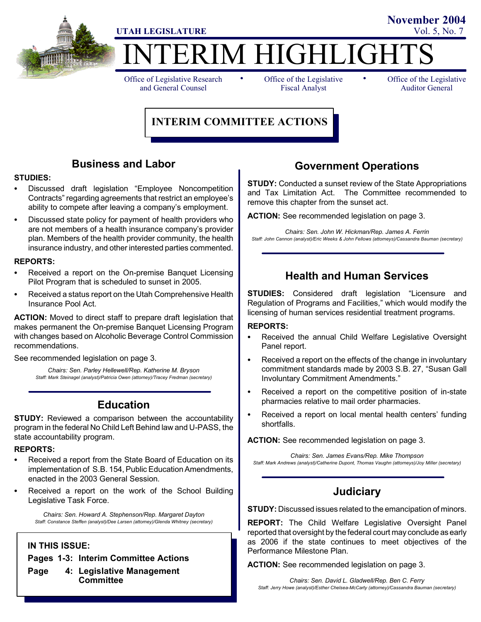

# TERIM HIGHLIGHT

Office of Legislative Research and General Counsel

• Office of the Legislative • Fiscal Analyst

Office of the Legislative Auditor General

**November 2004**

## **INTERIM COMMITTEE ACTIONS**

## **Business and Labor**

#### **STUDIES:**

- Discussed draft legislation "Employee Noncompetition Contracts" regarding agreements that restrict an employee's ability to compete after leaving a company's employment.
- Discussed state policy for payment of health providers who are not members of a health insurance company's provider plan. Members of the health provider community, the health insurance industry, and other interested parties commented.

#### **REPORTS:**

- Received a report on the On-premise Banquet Licensing Pilot Program that is scheduled to sunset in 2005.
- Received a status report on the Utah Comprehensive Health Insurance Pool Act.

**ACTION:** Moved to direct staff to prepare draft legislation that makes permanent the On-premise Banquet Licensing Program with changes based on Alcoholic Beverage Control Commission recommendations.

See recommended legislation on page 3.

*Chairs: Sen. Parley Hellewell/Rep. Katherine M. Bryson Staff: Mark Steinagel (analyst)/Patricia Owen (attorney)/Tracey Fredman (secretary)*

## **Education**

**STUDY:** Reviewed a comparison between the accountability program in the federal No Child Left Behind law and U-PASS, the state accountability program.

#### **REPORTS:**

- Received a report from the State Board of Education on its implementation of S.B. 154, Public Education Amendments, enacted in the 2003 General Session.
- Received a report on the work of the School Building Legislative Task Force.

*Chairs: Sen. Howard A. Stephenson/Rep. Margaret Dayton Staff: Constance Steffen (analyst)/Dee Larsen (attorney)/Glenda Whitney (secretary)*

### **IN THIS ISSUE:**

**Pages 1-3: Interim Committee Actions**

**Page 4: Legislative Management Committee**

## **Government Operations**

**STUDY:** Conducted a sunset review of the State Appropriations and Tax Limitation Act. The Committee recommended to remove this chapter from the sunset act.

**ACTION:** See recommended legislation on page 3.

*Chairs: Sen. John W. Hickman/Rep. James A. Ferrin Staff: John Cannon (analyst)/Eric Weeks & John Fellows (attorneys)/Cassandra Bauman (secretary)*

## **Health and Human Services**

**STUDIES:** Considered draft legislation "Licensure and Regulation of Programs and Facilities," which would modify the licensing of human services residential treatment programs.

#### **REPORTS:**

- Received the annual Child Welfare Legislative Oversight Panel report.
- Received a report on the effects of the change in involuntary commitment standards made by 2003 S.B. 27, "Susan Gall Involuntary Commitment Amendments."
- Received a report on the competitive position of in-state pharmacies relative to mail order pharmacies.
- Received a report on local mental health centers' funding shortfalls.

**ACTION:** See recommended legislation on page 3.

*Chairs: Sen. James Evans/Rep. Mike Thompson Staff: Mark Andrews (analyst)/Catherine Dupont, Thomas Vaughn (attorneys)/Joy Miller (secretary)*

## **Judiciary**

**STUDY:** Discussed issues related to the emancipation of minors.

**REPORT:** The Child Welfare Legislative Oversight Panel reported that oversight by the federal court may conclude as early as 2006 if the state continues to meet objectives of the Performance Milestone Plan.

**ACTION:** See recommended legislation on page 3.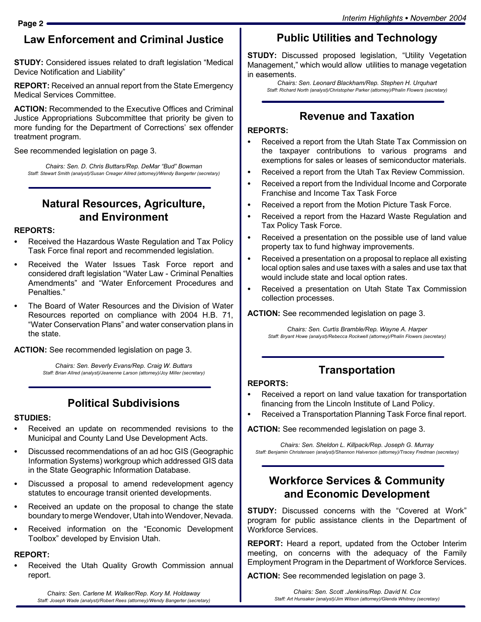## **Law Enforcement and Criminal Justice**

**STUDY:** Considered issues related to draft legislation "Medical Device Notification and Liability"

**REPORT:** Received an annual report from the State Emergency Medical Services Committee.

**ACTION:** Recommended to the Executive Offices and Criminal Justice Appropriations Subcommittee that priority be given to more funding for the Department of Corrections' sex offender treatment program.

See recommended legislation on page 3.

*Chairs: Sen. D. Chris Buttars/Rep. DeMar "Bud" Bowman Staff: Stewart Smith (analyst)/Susan Creager Allred (attorney)/Wendy Bangerter (secretary)*

## **Natural Resources, Agriculture, and Environment**

### **REPORTS:**

- Received the Hazardous Waste Regulation and Tax Policy Task Force final report and recommended legislation.
- Received the Water Issues Task Force report and considered draft legislation "Water Law - Criminal Penalties Amendments" and "Water Enforcement Procedures and Penalties."
- The Board of Water Resources and the Division of Water Resources reported on compliance with 2004 H.B. 71, "Water Conservation Plans" and water conservation plans in the state.

**ACTION:** See recommended legislation on page 3.

*Chairs: Sen. Beverly Evans/Rep. Craig W. Buttars Staff: Brian Allred (analyst)/Jeanenne Larson (attorney)/Joy Miller (secretary)*

## **Political Subdivisions**

### **STUDIES:**

- Received an update on recommended revisions to the Municipal and County Land Use Development Acts.
- Discussed recommendations of an ad hoc GIS (Geographic Information Systems) workgroup which addressed GIS data in the State Geographic Information Database.
- Discussed a proposal to amend redevelopment agency statutes to encourage transit oriented developments.
- Received an update on the proposal to change the state boundary to merge Wendover, Utah into Wendover, Nevada.
- Received information on the "Economic Development" Toolbox" developed by Envision Utah.

## **REPORT:**

Received the Utah Quality Growth Commission annual report.

*Chairs: Sen. Carlene M. Walker/Rep. Kory M. Holdaway Staff: Joseph Wade (analyst)/Robert Rees (attorney)/Wendy Bangerter (secretary)*

# **Public Utilities and Technology**

**STUDY:** Discussed proposed legislation, "Utility Vegetation Management," which would allow utilities to manage vegetation in easements.

*Chairs: Sen. Leonard Blackham/Rep. Stephen H. Urquhart Staff: Richard North (analyst)/Christopher Parker (attorney)/Phalin Flowers (secretary)*

## **Revenue and Taxation**

## **REPORTS:**

- Received a report from the Utah State Tax Commission on the taxpayer contributions to various programs and exemptions for sales or leases of semiconductor materials.
- Received a report from the Utah Tax Review Commission.
- Received a report from the Individual Income and Corporate Franchise and Income Tax Task Force
- Received a report from the Motion Picture Task Force.
- Received a report from the Hazard Waste Regulation and Tax Policy Task Force.
- Received a presentation on the possible use of land value property tax to fund highway improvements.
- Received a presentation on a proposal to replace all existing local option sales and use taxes with a sales and use tax that would include state and local option rates.
- Received a presentation on Utah State Tax Commission collection processes.

**ACTION:** See recommended legislation on page 3.

*Chairs: Sen. Curtis Bramble/Rep. Wayne A. Harper Staff: Bryant Howe (analyst)/Rebecca Rockwell (attorney)/Phalin Flowers (secretary)*

# **Transportation**

## **REPORTS:**

- Received a report on land value taxation for transportation financing from the Lincoln Institute of Land Policy.
- Received a Transportation Planning Task Force final report.

**ACTION:** See recommended legislation on page 3.

*Chairs: Sen. Sheldon L. Killpack/Rep. Joseph G. Murray Staff: Benjamin Christensen (analyst)/Shannon Halverson (attorney)/Tracey Fredman (secretary)*

## **Workforce Services & Community and Economic Development**

**STUDY:** Discussed concerns with the "Covered at Work" program for public assistance clients in the Department of Workforce Services.

**REPORT:** Heard a report, updated from the October Interim meeting, on concerns with the adequacy of the Family Employment Program in the Department of Workforce Services.

**ACTION:** See recommended legislation on page 3.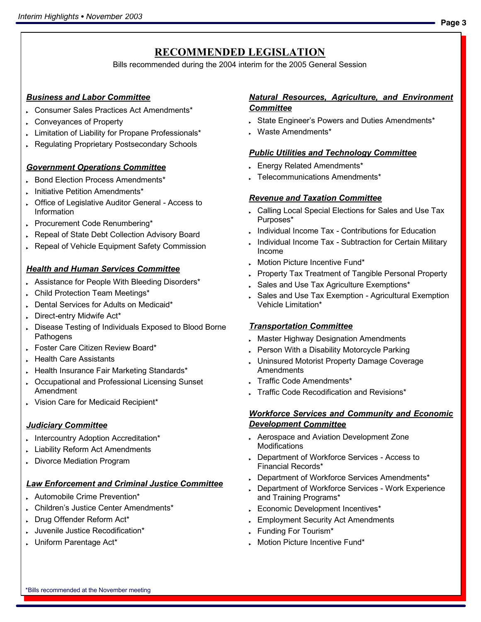## **RECOMMENDED LEGISLATION**

Bills recommended during the 2004 interim for the 2005 General Session

## *Business and Labor Committee*

- . Consumer Sales Practices Act Amendments\*
- Conveyances of Property
- Limitation of Liability for Propane Professionals\*
- Regulating Proprietary Postsecondary Schools

## *Government Operations Committee*

- . Bond Election Process Amendments\*
- . Initiative Petition Amendments\*
- **C** Office of Legislative Auditor General Access to Information
- Procurement Code Renumbering\*
- Repeal of State Debt Collection Advisory Board
- Repeal of Vehicle Equipment Safety Commission

## *Health and Human Services Committee*

- . Assistance for People With Bleeding Disorders\*
- . Child Protection Team Meetings\*
- . Dental Services for Adults on Medicaid\*
- Direct-entry Midwife Act\*
- Disease Testing of Individuals Exposed to Blood Borne **Pathogens**
- . Foster Care Citizen Review Board\*
- Health Care Assistants
- Fealth Insurance Fair Marketing Standards\*
- Cccupational and Professional Licensing Sunset Amendment
- Vision Care for Medicaid Recipient\*

## *Judiciary Committee*

- . Intercountry Adoption Accreditation\*
- Liability Reform Act Amendments
- Divorce Mediation Program

## *Law Enforcement and Criminal Justice Committee*

- . Automobile Crime Prevention\*
- . Children's Justice Center Amendments\*
- . Drug Offender Reform Act\*
- **Juvenile Justice Recodification\***
- . Uniform Parentage Act\*

## *Natural Resources, Agriculture, and Environment Committee*

- State Engineer's Powers and Duties Amendments\*
- . Waste Amendments\*

## *Public Utilities and Technology Committee*

- **Energy Related Amendments\***
- . Telecommunications Amendments\*

## *Revenue and Taxation Committee*

- Calling Local Special Elections for Sales and Use Tax Purposes\*
- . Individual Income Tax Contributions for Education
- Individual Income Tax Subtraction for Certain Military Income
- **Motion Picture Incentive Fund\***
- Property Tax Treatment of Tangible Personal Property
- Sales and Use Tax Agriculture Exemptions\*
- Sales and Use Tax Exemption Agricultural Exemption Vehicle Limitation\*

## *Transportation Committee*

- **Master Highway Designation Amendments**
- Person With a Disability Motorcycle Parking
- . Uninsured Motorist Property Damage Coverage **Amendments**
- Traffic Code Amendments\*
- Traffic Code Recodification and Revisions\*

#### *Workforce Services and Community and Economic Development Committee*

- Aerospace and Aviation Development Zone **Modifications**
- Department of Workforce Services Access to Financial Records\*
- . Department of Workforce Services Amendments\*
- Department of Workforce Services Work Experience and Training Programs\*
- Economic Development Incentives\*
- **Employment Security Act Amendments**
- Funding For Tourism\*
- . Motion Picture Incentive Fund\*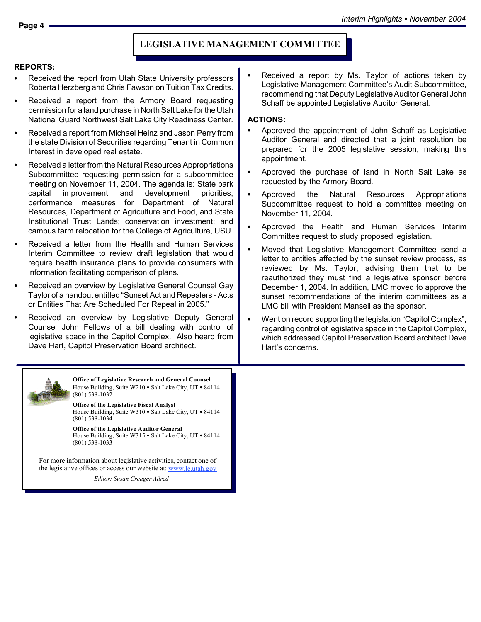#### **LEGISLATIVE MANAGEMENT COMMITTEE**

#### **REPORTS:**

- Received the report from Utah State University professors Roberta Herzberg and Chris Fawson on Tuition Tax Credits.
- Received a report from the Armory Board requesting permission for a land purchase in North Salt Lakefor the Utah National Guard Northwest Salt Lake City Readiness Center.
- Received a report from Michael Heinz and Jason Perry from the state Division of Securities regarding Tenant in Common Interest in developed real estate.
- Received a letter from the Natural Resources Appropriations Subcommittee requesting permission for a subcommittee meeting on November 11, 2004. The agenda is: State park capital improvement and development priorities; performance measures for Department of Natural Resources, Department of Agriculture and Food, and State Institutional Trust Lands; conservation investment; and campus farm relocation for the College of Agriculture, USU.
- Received a letter from the Health and Human Services Interim Committee to review draft legislation that would require health insurance plans to provide consumers with information facilitating comparison of plans.
- Received an overview by Legislative General Counsel Gay Taylor of a handout entitled "Sunset Act and Repealers - Acts or Entities That Are Scheduled For Repeal in 2005."
- Received an overview by Legislative Deputy General Counsel John Fellows of a bill dealing with control of legislative space in the Capitol Complex. Also heard from Dave Hart, Capitol Preservation Board architect.

Received a report by Ms. Taylor of actions taken by Legislative Management Committee's Audit Subcommittee, recommending that Deputy Legislative Auditor General John Schaff be appointed Legislative Auditor General.

#### **ACTIONS:**

- Approved the appointment of John Schaff as Legislative Auditor General and directed that a joint resolution be prepared for the 2005 legislative session, making this appointment.
- Approved the purchase of land in North Salt Lake as requested by the Armory Board.
- Approved the Natural Resources Appropriations Subcommittee request to hold a committee meeting on November 11, 2004.
- Approved the Health and Human Services Interim Committee request to study proposed legislation.
- Moved that Legislative Management Committee send a letter to entities affected by the sunset review process, as reviewed by Ms. Taylor, advising them that to be reauthorized they must find a legislative sponsor before December 1, 2004. In addition, LMC moved to approve the sunset recommendations of the interim committees as a LMC bill with President Mansell as the sponsor.
- Went on record supporting the legislation "Capitol Complex", regarding control of legislative space in the Capitol Complex, which addressed Capitol Preservation Board architect Dave Hart's concerns.



**Office of Legislative Research and General Counsel** House Building, Suite W210 • Salt Lake City, UT • 84114 (801) 538-1032

**Office of the Legislative Fiscal Analyst** House Building, Suite W310 • Salt Lake City, UT • 84114 (801) 538-1034

**Office of the Legislative Auditor General** House Building, Suite W315 • Salt Lake City, UT • 84114 (801) 538-1033

For more information about legislative activities, contact one of the legislative offices or access our website at: www.le.utah.gov

*Editor: Susan Creager Allred*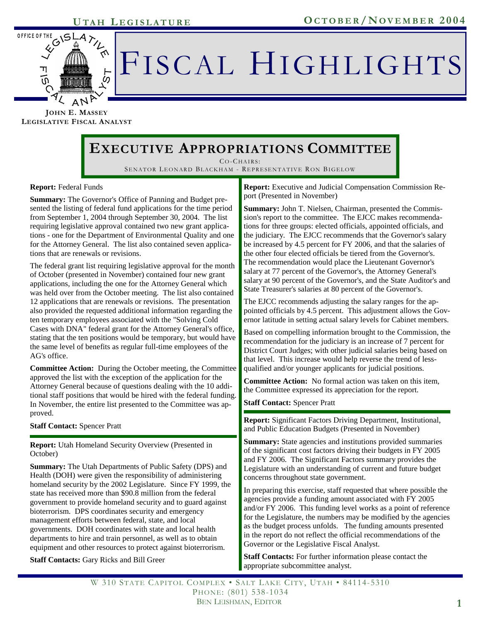

# FISCAL HIGHLIGHTS

**JOHN E. MASSEY LEGISLATIVE FISCAL ANALYST**

# **EXECUTIVE APPROPRIATIONS COMMITTEE**

CO-CHAIRS : SENATOR LEONARD BLACKHAM - REPRESENTATIVE RON BIGELOW

#### **Report:** Federal Funds

**Summary:** The Governor's Office of Panning and Budget presented the listing of federal fund applications for the time period from September 1, 2004 through September 30, 2004. The list requiring legislative approval contained two new grant applications - one for the Department of Environmental Quality and one for the Attorney General. The list also contained seven applications that are renewals or revisions.

The federal grant list requiring legislative approval for the month of October (presented in November) contained four new grant applications, including the one for the Attorney General which was held over from the October meeting. The list also contained 12 applications that are renewals or revisions. The presentation also provided the requested additional information regarding the ten temporary employees associated with the "Solving Cold Cases with DNA" federal grant for the Attorney General's office, stating that the ten positions would be temporary, but would have the same level of benefits as regular full-time employees of the AG's office.

**Committee Action:** During the October meeting, the Committee approved the list with the exception of the application for the Attorney General because of questions dealing with the 10 additional staff positions that would be hired with the federal funding. In November, the entire list presented to the Committee was approved.

**Staff Contact:** Spencer Pratt

**Report:** Utah Homeland Security Overview (Presented in October)

**Summary:** The Utah Departments of Public Safety (DPS) and Health (DOH) were given the responsibility of administering homeland security by the 2002 Legislature. Since FY 1999, the state has received more than \$90.8 million from the federal government to provide homeland security and to guard against bioterrorism. DPS coordinates security and emergency management efforts between federal, state, and local governments. DOH coordinates with state and local health departments to hire and train personnel, as well as to obtain equipment and other resources to protect against bioterrorism.

**Staff Contacts:** Gary Ricks and Bill Greer

**Report:** Executive and Judicial Compensation Commission Report (Presented in November)

**Summary:** John T. Nielsen, Chairman, presented the Commission's report to the committee. The EJCC makes recommendations for three groups: elected officials, appointed officials, and the judiciary. The EJCC recommends that the Governor's salary be increased by 4.5 percent for FY 2006, and that the salaries of the other four elected officials be tiered from the Governor's. The recommendation would place the Lieutenant Governor's salary at 77 percent of the Governor's, the Attorney General's salary at 90 percent of the Governor's, and the State Auditor's and State Treasurer's salaries at 80 percent of the Governor's.

The EJCC recommends adjusting the salary ranges for the appointed officials by 4.5 percent. This adjustment allows the Governor latitude in setting actual salary levels for Cabinet members.

Based on compelling information brought to the Commission, the recommendation for the judiciary is an increase of 7 percent for District Court Judges; with other judicial salaries being based on that level. This increase would help reverse the trend of lessqualified and/or younger applicants for judicial positions.

**Committee Action:** No formal action was taken on this item, the Committee expressed its appreciation for the report.

**Staff Contact:** Spencer Pratt

**Report:** Significant Factors Driving Department, Institutional, and Public Education Budgets (Presented in November)

**Summary:** State agencies and institutions provided summaries of the significant cost factors driving their budgets in FY 2005 and FY 2006. The Significant Factors summary provides the Legislature with an understanding of current and future budget concerns throughout state government.

In preparing this exercise, staff requested that where possible the agencies provide a funding amount associated with FY 2005 and/or FY 2006. This funding level works as a point of reference for the Legislature, the numbers may be modified by the agencies as the budget process unfolds. The funding amounts presented in the report do not reflect the official recommendations of the Governor or the Legislative Fiscal Analyst.

**Staff Contacts:** For further information please contact the appropriate subcommittee analyst.